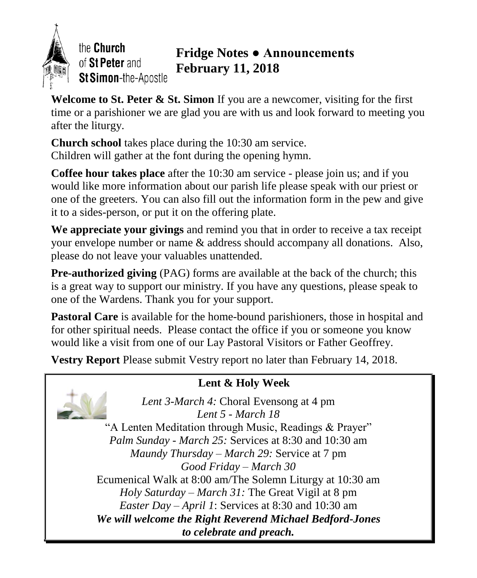

the Church of St Peter and St Simon-the-Apostle

# **Fridge Notes ● Announcements February 11, 2018**

**Welcome to St. Peter & St. Simon** If you are a newcomer, visiting for the first time or a parishioner we are glad you are with us and look forward to meeting you after the liturgy.

**Church school** takes place during the 10:30 am service. Children will gather at the font during the opening hymn.

**Coffee hour takes place** after the 10:30 am service - please join us; and if you would like more information about our parish life please speak with our priest or one of the greeters. You can also fill out the information form in the pew and give it to a sides-person, or put it on the offering plate.

**We appreciate your givings** and remind you that in order to receive a tax receipt your envelope number or name & address should accompany all donations. Also, please do not leave your valuables unattended.

**Pre-authorized giving** (PAG) forms are available at the back of the church; this is a great way to support our ministry. If you have any questions, please speak to one of the Wardens. Thank you for your support.

**Pastoral Care** is available for the home-bound parishioners, those in hospital and for other spiritual needs. Please contact the office if you or someone you know would like a visit from one of our Lay Pastoral Visitors or Father Geoffrey.

**Vestry Report** Please submit Vestry report no later than February 14, 2018.

# **Lent & Holy Week**

*Lent 3-March 4:* Choral Evensong at 4 pm

*Lent 5 - March 18*  "A Lenten Meditation through Music, Readings & Prayer" *Palm Sunday - March 25:* Services at 8:30 and 10:30 am *Maundy Thursday – March 29:* Service at 7 pm *Good Friday – March 30* Ecumenical Walk at 8:00 am/The Solemn Liturgy at 10:30 am *Holy Saturday – March 31:* The Great Vigil at 8 pm *Easter Day – April 1*: Services at 8:30 and 10:30 am *We will welcome the Right Reverend Michael Bedford-Jones to celebrate and preach.*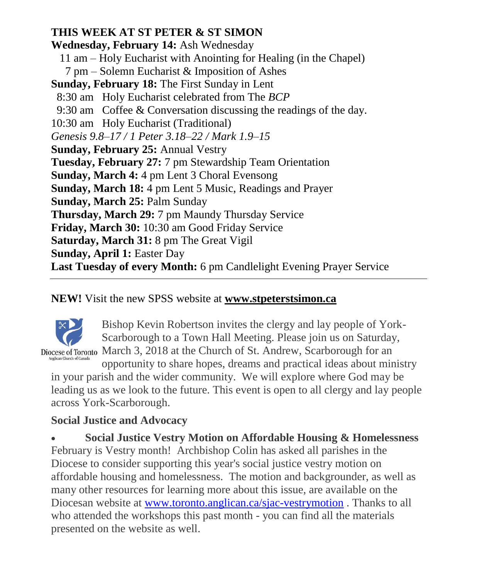### **THIS WEEK AT ST PETER & ST SIMON**

**Wednesday, February 14:** Ash Wednesday 11 am – Holy Eucharist with Anointing for Healing (in the Chapel) 7 pm – Solemn Eucharist & Imposition of Ashes **Sunday, February 18:** The First Sunday in Lent 8:30 am Holy Eucharist celebrated from The *BCP* 9:30 am Coffee & Conversation discussing the readings of the day. 10:30 am Holy Eucharist (Traditional) *Genesis 9.8–17 / 1 Peter 3.18–22 / Mark 1.9–15* **Sunday, February 25:** Annual Vestry **Tuesday, February 27:** 7 pm Stewardship Team Orientation **Sunday, March 4:** 4 pm Lent 3 Choral Evensong **Sunday, March 18:** 4 pm Lent 5 Music, Readings and Prayer **Sunday, March 25:** Palm Sunday **Thursday, March 29:** 7 pm Maundy Thursday Service **Friday, March 30:** 10:30 am Good Friday Service **Saturday, March 31:** 8 pm The Great Vigil **Sunday, April 1:** Easter Day **Last Tuesday of every Month:** 6 pm Candlelight Evening Prayer Service

### **NEW!** Visit the new SPSS website at **www.stpeterstsimon.ca**



Bishop Kevin Robertson invites the clergy and lay people of York-Scarborough to a Town Hall Meeting. Please join us on Saturday, Diocese of Toronto March 3, 2018 at the Church of St. Andrew, Scarborough for an

opportunity to share hopes, dreams and practical ideas about ministry in your parish and the wider community. We will explore where God may be leading us as we look to the future. This event is open to all clergy and lay people across York-Scarborough.

# **Social Justice and Advocacy**

 **Social Justice Vestry Motion on Affordable Housing & Homelessness** February is Vestry month! Archbishop Colin has asked all parishes in the Diocese to consider supporting this year's social justice vestry motion on affordable housing and homelessness. The motion and backgrounder, as well as many other resources for learning more about this issue, are available on the Diocesan website at [www.toronto.anglican.ca/sjac-vestrymotion](http://r20.rs6.net/tn.jsp?f=001Ekn5tszf_3PgAvMWrMwZ1haq9u_Jdv1rjh_60zqlAkrknY8VrhIl2_FHRXvvneMHTWU4QOFjpfUn3NCRARSC4bkLBv1fzkk7pVpUbOkhMDJox6sj6p5ceeOFMAlDnq_HqSLY8xT7RC45WynQdDH369JhwtTYdqLPQSjWJWQl6GqXiX0gALlOb1H4Ot7Zst8wx49ZMOFtPys=&c=A0AdZXVKigjeWe-XQ8bUjRhm9brRAF9eD_QN5zFKwoHHAUv9iZuW4w==&ch=VXbPTBvDqz2WGGsVAcgdE3i0ovmJS0jaLI8XmkuHSsCeZUQPrLxIuA==) . Thanks to all who attended the workshops this past month - you can find all the materials presented on the website as well.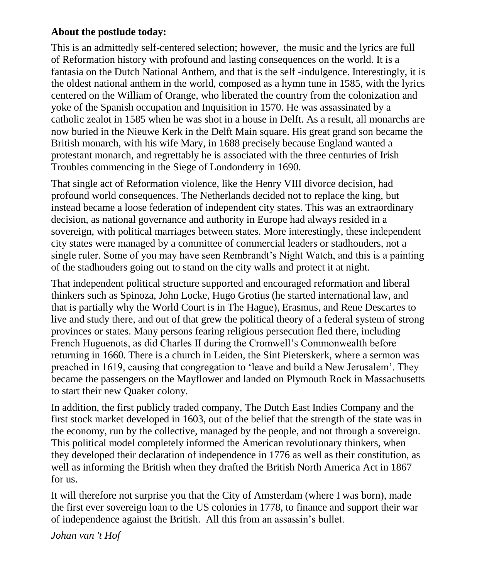#### **About the postlude today:**

This is an admittedly self-centered selection; however, the music and the lyrics are full of Reformation history with profound and lasting consequences on the world. It is a fantasia on the Dutch National Anthem, and that is the self -indulgence. Interestingly, it is the oldest national anthem in the world, composed as a hymn tune in 1585, with the lyrics centered on the William of Orange, who liberated the country from the colonization and yoke of the Spanish occupation and Inquisition in 1570. He was assassinated by a catholic zealot in 1585 when he was shot in a house in Delft. As a result, all monarchs are now buried in the Nieuwe Kerk in the Delft Main square. His great grand son became the British monarch, with his wife Mary, in 1688 precisely because England wanted a protestant monarch, and regrettably he is associated with the three centuries of Irish Troubles commencing in the Siege of Londonderry in 1690.

That single act of Reformation violence, like the Henry VIII divorce decision, had profound world consequences. The Netherlands decided not to replace the king, but instead became a loose federation of independent city states. This was an extraordinary decision, as national governance and authority in Europe had always resided in a sovereign, with political marriages between states. More interestingly, these independent city states were managed by a committee of commercial leaders or stadhouders, not a single ruler. Some of you may have seen Rembrandt's Night Watch, and this is a painting of the stadhouders going out to stand on the city walls and protect it at night.

That independent political structure supported and encouraged reformation and liberal thinkers such as Spinoza, John Locke, Hugo Grotius (he started international law, and that is partially why the World Court is in The Hague), Erasmus, and Rene Descartes to live and study there, and out of that grew the political theory of a federal system of strong provinces or states. Many persons fearing religious persecution fled there, including French Huguenots, as did Charles II during the Cromwell's Commonwealth before returning in 1660. There is a church in Leiden, the Sint Pieterskerk, where a sermon was preached in 1619, causing that congregation to 'leave and build a New Jerusalem'. They became the passengers on the Mayflower and landed on Plymouth Rock in Massachusetts to start their new Quaker colony.

In addition, the first publicly traded company, The Dutch East Indies Company and the first stock market developed in 1603, out of the belief that the strength of the state was in the economy, run by the collective, managed by the people, and not through a sovereign. This political model completely informed the American revolutionary thinkers, when they developed their declaration of independence in 1776 as well as their constitution, as well as informing the British when they drafted the British North America Act in 1867 for us.

It will therefore not surprise you that the City of Amsterdam (where I was born), made the first ever sovereign loan to the US colonies in 1778, to finance and support their war of independence against the British. All this from an assassin's bullet.

*Johan van 't Hof*